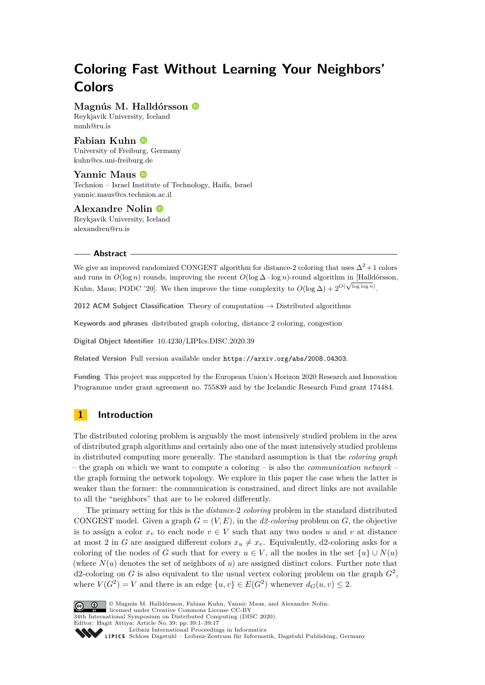# **Coloring Fast Without Learning Your Neighbors' Colors**

**Magnús M. Halldórsson**

Reykjavik University, Iceland [mmh@ru.is](mailto:mmh@ru.is)

## **Fabian Kuhn**

University of Freiburg, Germany [kuhn@cs.uni-freiburg.de](mailto:kuhn@cs.uni-freiburg.de)

#### **Yannic Maus** Technion – Israel Institute of Technology, Haifa, Israel [yannic.maus@cs.technion.ac.il](mailto:yannic.maus@cs.technion.ac.il)

# **Alexandre Nolin**

Reykjavik University, Iceland [alexandren@ru.is](mailto:alexandren@ru.is)

#### **Abstract**

We give an improved randomized CONGEST algorithm for distance-2 coloring that uses  $\Delta^2+1$  colors and runs in  $O(\log n)$  rounds, improving the recent  $O(\log \Delta \cdot \log n)$ -round algorithm in [Halldórsson, Kuhn, Maus; PODC '20]. We then improve the time complexity to  $O(\log \Delta) + 2^{O(\sqrt{\log \log n})}$ .

**2012 ACM Subject Classification** Theory of computation → Distributed algorithms

**Keywords and phrases** distributed graph coloring, distance 2 coloring, congestion

**Digital Object Identifier** [10.4230/LIPIcs.DISC.2020.39](https://doi.org/10.4230/LIPIcs.DISC.2020.39)

**Related Version** Full version available under <https://arxiv.org/abs/2008.04303>.

**Funding** This project was supported by the European Union's Horizon 2020 Research and Innovation Programme under grant agreement no. 755839 and by the Icelandic Research Fund grant 174484.

# **1 Introduction**

The distributed coloring problem is arguably the most intensively studied problem in the area of distributed graph algorithms and certainly also one of the most intensively studied problems in distributed computing more generally. The standard assumption is that the *coloring graph* – the graph on which we want to compute a coloring – is also the *communication network* – the graph forming the network topology. We explore in this paper the case when the latter is weaker than the former: the communication is constrained, and direct links are not available to all the "neighbors" that are to be colored differently.

The primary setting for this is the *distance-*2 *coloring* problem in the standard distributed CONGEST model. Given a graph  $G = (V, E)$ , in the *d2-coloring* problem on  $G$ , the objective is to assign a color  $x_v$  to each node  $v \in V$  such that any two nodes *u* and *v* at distance at most 2 in *G* are assigned different colors  $x_u \neq x_v$ . Equivalently, d2-coloring asks for a coloring of the nodes of *G* such that for every  $u \in V$ , all the nodes in the set  $\{u\} \cup N(u)$ (where  $N(u)$  denotes the set of neighbors of  $u$ ) are assigned distinct colors. Further note that d2-coloring on *G* is also equivalent to the usual vertex coloring problem on the graph *G*<sup>2</sup> , where  $V(G^2) = V$  and there is an edge  $\{u, v\} \in E(G^2)$  whenever  $d_G(u, v) \leq 2$ .



© Magnús M. Halldórsson, Fabian Kuhn, Yannic Maus, and Alexandre Nolin; licensed under Creative Commons License CC-BY

34th International Symposium on Distributed Computing (DISC 2020).

Editor: Hagit Attiya; Article No. 39; pp. 39:1–39[:17](#page-16-0)

[Leibniz International Proceedings in Informatics](https://www.dagstuhl.de/lipics/)

Leibniz international Floretungs in missimosische Publishing, Germany<br>LIPICS [Schloss Dagstuhl – Leibniz-Zentrum für Informatik, Dagstuhl Publishing, Germany](https://www.dagstuhl.de)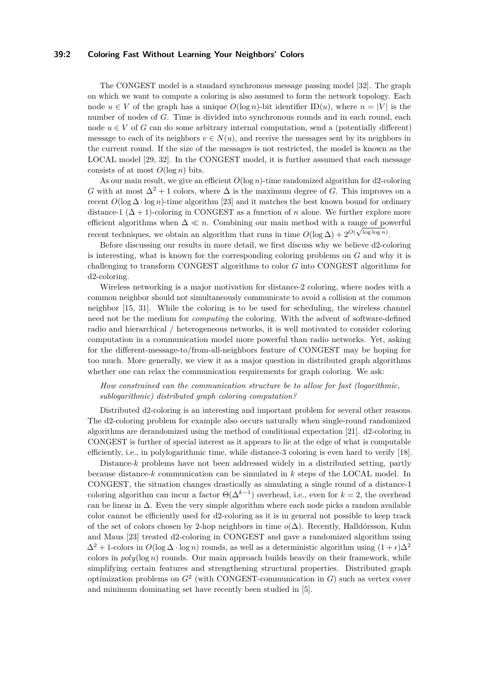## **39:2 Coloring Fast Without Learning Your Neighbors' Colors**

The CONGEST model is a standard synchronous message passing model [\[32\]](#page-16-1). The graph on which we want to compute a coloring is also assumed to form the network topology. Each node  $u \in V$  of the graph has a unique  $O(\log n)$ -bit identifier  $ID(u)$ , where  $n = |V|$  is the number of nodes of *G*. Time is divided into synchronous rounds and in each round, each node  $u \in V$  of *G* can do some arbitrary internal computation, send a (potentially different) message to each of its neighbors  $v \in N(u)$ , and receive the messages sent by its neighbors in the current round. If the size of the messages is not restricted, the model is known as the LOCAL model [\[29,](#page-16-2) [32\]](#page-16-1). In the CONGEST model, it is further assumed that each message consists of at most  $O(\log n)$  bits.

As our main result, we give an efficient *O*(log *n*)-time randomized algorithm for d2-coloring *G* with at most  $\Delta^2 + 1$  colors, where  $\Delta$  is the maximum degree of *G*. This improves on a recent  $O(\log \Delta \cdot \log n)$ -time algorithm [\[23\]](#page-16-3) and it matches the best known bound for ordinary distance-1  $(\Delta + 1)$ -coloring in CONGEST as a function of *n* alone. We further explore more efficient algorithms when  $\Delta \ll n$ . Combining our main method with a range of powerful recent techniques, we obtain an algorithm that runs in time  $O(\log \Delta) + 2^{O(\sqrt{\log \log n})}$ .

Before discussing our results in more detail, we first discuss why we believe d2-coloring is interesting, what is known for the corresponding coloring problems on *G* and why it is challenging to transform CONGEST algorithms to color *G* into CONGEST algorithms for d2-coloring.

Wireless networking is a major motivation for distance-2 coloring, where nodes with a common neighbor should not simultaneously communicate to avoid a collision at the common neighbor [\[15,](#page-15-0) [31\]](#page-16-4). While the coloring is to be used for scheduling, the wireless channel need not be the medium for *computing* the coloring. With the advent of software-defined radio and hierarchical / heterogeneous networks, it is well motivated to consider coloring computation in a communication model more powerful than radio networks. Yet, asking for the different-message-to/from-all-neighbors feature of CONGEST may be hoping for too much. More generally, we view it as a major question in distributed graph algorithms whether one can relax the communication requirements for graph coloring. We ask:

*How constrained can the communication structure be to allow for fast (logarithmic, sublogarithmic) distributed graph coloring computation?*

Distributed d2-coloring is an interesting and important problem for several other reasons. The d2-coloring problem for example also occurs naturally when single-round randomized algorithms are derandomized using the method of conditional expectation [\[21\]](#page-16-5). d2-coloring in CONGEST is further of special interest as it appears to lie at the edge of what is computable efficiently, i.e., in polylogarithmic time, while distance-3 coloring is even hard to verify [\[18\]](#page-15-1).

Distance-*k* problems have not been addressed widely in a distributed setting, partly because distance-*k* communication can be simulated in *k* steps of the LOCAL model. In CONGEST, the situation changes drastically as simulating a single round of a distance-1 coloring algorithm can incur a factor  $\Theta(\Delta^{k-1})$  overhead, i.e., even for  $k = 2$ , the overhead can be linear in ∆. Even the very simple algorithm where each node picks a random available color cannot be efficiently used for d2-coloring as it is in general not possible to keep track of the set of colors chosen by 2-hop neighbors in time *o*(∆). Recently, Halldórsson, Kuhn and Maus [\[23\]](#page-16-3) treated d2-coloring in CONGEST and gave a randomized algorithm using  $\Delta^2 + 1$ -colors in  $O(\log \Delta \cdot \log n)$  rounds, as well as a deterministic algorithm using  $(1 + \epsilon)\Delta^2$ colors in  $poly(\log n)$  rounds. Our main approach builds heavily on their framework, while simplifying certain features and strengthening structural properties. Distributed graph optimization problems on *G*<sup>2</sup> (with CONGEST-communication in *G*) such as vertex cover and minimum dominating set have recently been studied in [\[5\]](#page-15-2).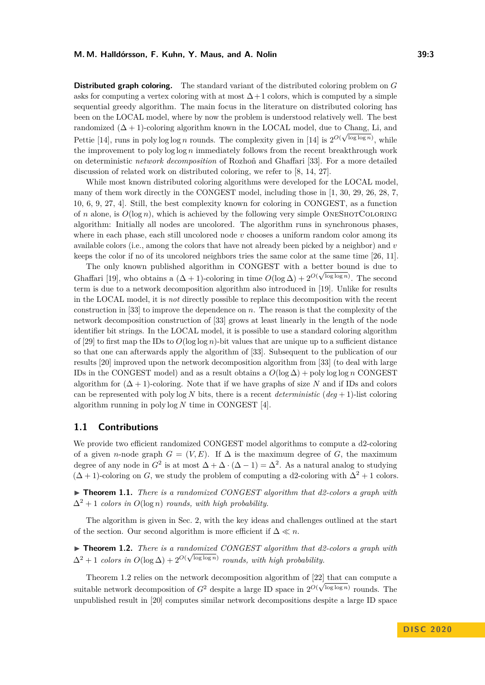**Distributed graph coloring.** The standard variant of the distributed coloring problem on *G* asks for computing a vertex coloring with at most  $\Delta+1$  colors, which is computed by a simple sequential greedy algorithm. The main focus in the literature on distributed coloring has been on the LOCAL model, where by now the problem is understood relatively well. The best randomized  $(\Delta + 1)$ -coloring algorithm known in the LOCAL model, due to Chang, Li, and Pettie [\[14\]](#page-15-3), runs in polylog log *n* rounds. The complexity given in [14] is  $2^{O(\sqrt{\log \log n})}$ , while the improvement to poly log log *n* immediately follows from the recent breakthrough work on deterministic *network decomposition* of Rozhoň and Ghaffari [\[33\]](#page-16-6). For a more detailed discussion of related work on distributed coloring, we refer to [\[8,](#page-15-4) [14,](#page-15-3) [27\]](#page-16-7).

While most known distributed coloring algorithms were developed for the LOCAL model, many of them work directly in the CONGEST model, including those in [\[1,](#page-15-5) [30,](#page-16-8) [29,](#page-16-2) [26,](#page-16-9) [28,](#page-16-10) [7,](#page-15-6) [10,](#page-15-7) [6,](#page-15-8) [9,](#page-15-9) [27,](#page-16-7) [4\]](#page-15-10). Still, the best complexity known for coloring in CONGEST, as a function of *n* alone, is  $O(\log n)$ , which is achieved by the following very simple ONESHOTCOLORING algorithm: Initially all nodes are uncolored. The algorithm runs in synchronous phases, where in each phase, each still uncolored node *v* chooses a uniform random color among its available colors (i.e., among the colors that have not already been picked by a neighbor) and *v* keeps the color if no of its uncolored neighbors tries the same color at the same time [\[26,](#page-16-9) [11\]](#page-15-11).

The only known published algorithm in CONGEST with a better bound is due to Ghaffari [\[19\]](#page-16-11), who obtains a  $(\Delta + 1)$ -coloring in time  $O(\log \Delta) + 2^{O(\sqrt{\log \log n})}$ . The second term is due to a network decomposition algorithm also introduced in [\[19\]](#page-16-11). Unlike for results in the LOCAL model, it is *not* directly possible to replace this decomposition with the recent construction in [\[33\]](#page-16-6) to improve the dependence on *n*. The reason is that the complexity of the network decomposition construction of [\[33\]](#page-16-6) grows at least linearly in the length of the node identifier bit strings. In the LOCAL model, it is possible to use a standard coloring algorithm of [\[29\]](#page-16-2) to first map the IDs to  $O(\log \log n)$ -bit values that are unique up to a sufficient distance so that one can afterwards apply the algorithm of [\[33\]](#page-16-6). Subsequent to the publication of our results [\[20\]](#page-16-12) improved upon the network decomposition algorithm from [\[33\]](#page-16-6) (to deal with large IDs in the CONGEST model) and as a result obtains a  $O(\log \Delta) + \text{poly}\log \log n$  CONGEST algorithm for  $(\Delta + 1)$ -coloring. Note that if we have graphs of size *N* and if IDs and colors can be represented with poly  $\log N$  bits, there is a recent *deterministic* (*deg* + 1)-list coloring algorithm running in poly log *N* time in CONGEST [\[4\]](#page-15-10).

## **1.1 Contributions**

We provide two efficient randomized CONGEST model algorithms to compute a d2-coloring of a given *n*-node graph  $G = (V, E)$ . If  $\Delta$  is the maximum degree of G, the maximum degree of any node in  $G^2$  is at most  $\Delta + \Delta \cdot (\Delta - 1) = \Delta^2$ . As a natural analog to studying  $(\Delta + 1)$ -coloring on *G*, we study the problem of computing a d2-coloring with  $\Delta^2 + 1$  colors.

 $\triangleright$  **Theorem 1.1.** *There is a randomized CONGEST algorithm that d2-colors a graph with*  $\Delta^2 + 1$  *colors in*  $O(\log n)$  *rounds, with high probability.* 

The algorithm is given in Sec. [2,](#page-3-0) with the key ideas and challenges outlined at the start of the section. Our second algorithm is more efficient if  $\Delta \ll n$ .

<span id="page-2-0"></span>► **Theorem 1.2.** *There is a randomized CONGEST algorithm that d2-colors a graph with*  $\Delta^2 + 1$  *colors in*  $O(\log \Delta) + 2^{O(\sqrt{\log \log n})}$  *rounds, with high probability.* 

Theorem [1.2](#page-2-0) relies on the network decomposition algorithm of  $[22]$  that can compute a suitable network decomposition of  $G^2$  despite a large ID space in  $2^{O(\sqrt{\log \log n})}$  rounds. The unpublished result in [\[20\]](#page-16-12) computes similar network decompositions despite a large ID space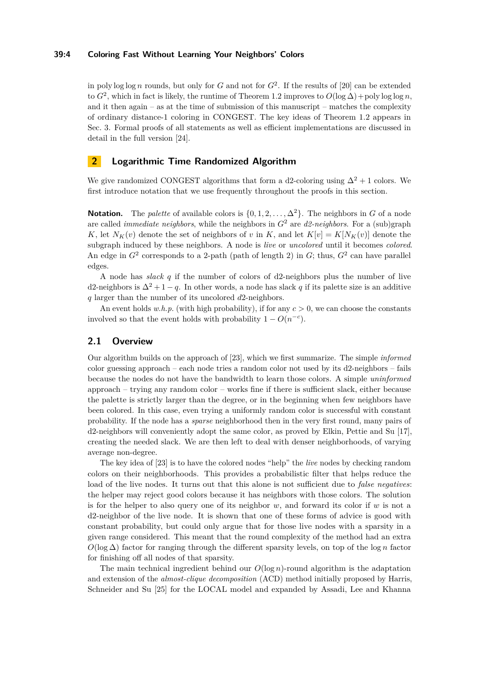## **39:4 Coloring Fast Without Learning Your Neighbors' Colors**

in poly log log *n* rounds, but only for *G* and not for  $G^2$ . If the results of [\[20\]](#page-16-12) can be extended to  $G^2$ , which in fact is likely, the runtime of Theorem [1.2](#page-2-0) improves to  $O(\log \Delta) + \text{poly}\log \log n$ , and it then again – as at the time of submission of this manuscript – matches the complexity of ordinary distance-1 coloring in CONGEST. The key ideas of Theorem [1.2](#page-2-0) appears in Sec. [3.](#page-10-0) Formal proofs of all statements as well as efficient implementations are discussed in detail in the full version [\[24\]](#page-16-14).

## <span id="page-3-0"></span>**2 Logarithmic Time Randomized Algorithm**

We give randomized CONGEST algorithms that form a d2-coloring using  $\Delta^2 + 1$  colors. We first introduce notation that we use frequently throughout the proofs in this section.

**Notation.** The *palette* of available colors is  $\{0, 1, 2, \ldots, \Delta^2\}$ . The neighbors in *G* of a node are called *immediate neighbors*, while the neighbors in *G*<sup>2</sup> are *d2-neighbors*. For a (sub)graph *K*, let  $N_K(v)$  denote the set of neighbors of *v* in *K*, and let  $K[v] = K[N_K(v)]$  denote the subgraph induced by these neighbors. A node is *live* or *uncolored* until it becomes *colored*. An edge in  $G^2$  corresponds to a 2-path (path of length 2) in  $G$ ; thus,  $G^2$  can have parallel edges.

A node has *slack q* if the number of colors of d2-neighbors plus the number of live d2-neighbors is  $\Delta^2 + 1 - q$ . In other words, a node has slack q if its palette size is an additive *q* larger than the number of its uncolored *d*2-neighbors.

An event holds  $w.h.p.$  (with high probability), if for any  $c > 0$ , we can choose the constants involved so that the event holds with probability  $1 - O(n^{-c})$ .

## **2.1 Overview**

Our algorithm builds on the approach of [\[23\]](#page-16-3), which we first summarize. The simple *informed* color guessing approach – each node tries a random color not used by its d2-neighbors – fails because the nodes do not have the bandwidth to learn those colors. A simple *uninformed* approach – trying any random color – works fine if there is sufficient slack, either because the palette is strictly larger than the degree, or in the beginning when few neighbors have been colored. In this case, even trying a uniformly random color is successful with constant probability. If the node has a *sparse* neighborhood then in the very first round, many pairs of d2-neighbors will conveniently adopt the same color, as proved by Elkin, Pettie and Su [\[17\]](#page-15-12), creating the needed slack. We are then left to deal with denser neighborhoods, of varying average non-degree.

The key idea of [\[23\]](#page-16-3) is to have the colored nodes "help" the *live* nodes by checking random colors on their neighborhoods. This provides a probabilistic filter that helps reduce the load of the live nodes. It turns out that this alone is not sufficient due to *false negatives*: the helper may reject good colors because it has neighbors with those colors. The solution is for the helper to also query one of its neighbor *w*, and forward its color if *w* is not a d2-neighbor of the live node. It is shown that one of these forms of advice is good with constant probability, but could only argue that for those live nodes with a sparsity in a given range considered. This meant that the round complexity of the method had an extra  $O(\log \Delta)$  factor for ranging through the different sparsity levels, on top of the  $\log n$  factor for finishing off all nodes of that sparsity.

The main technical ingredient behind our  $O(\log n)$ -round algorithm is the adaptation and extension of the *almost-clique decomposition* (ACD) method initially proposed by Harris, Schneider and Su [\[25\]](#page-16-15) for the LOCAL model and expanded by Assadi, Lee and Khanna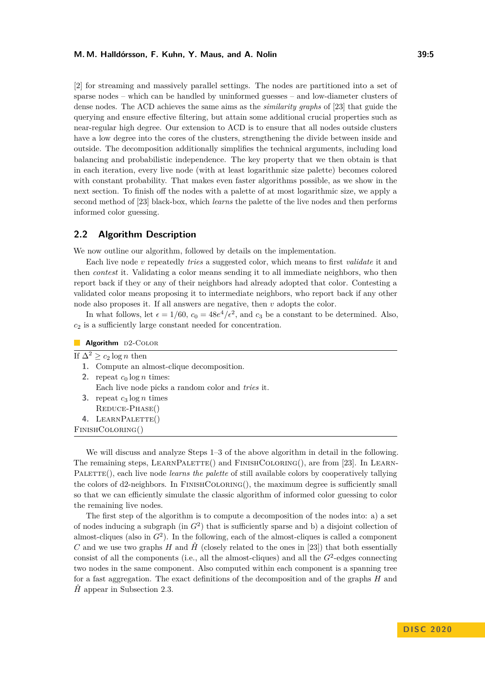[\[2\]](#page-15-13) for streaming and massively parallel settings. The nodes are partitioned into a set of sparse nodes – which can be handled by uninformed guesses – and low-diameter clusters of dense nodes. The ACD achieves the same aims as the *similarity graphs* of [\[23\]](#page-16-3) that guide the querying and ensure effective filtering, but attain some additional crucial properties such as near-regular high degree. Our extension to ACD is to ensure that all nodes outside clusters have a low degree into the cores of the clusters, strengthening the divide between inside and outside. The decomposition additionally simplifies the technical arguments, including load balancing and probabilistic independence. The key property that we then obtain is that in each iteration, every live node (with at least logarithmic size palette) becomes colored with constant probability. That makes even faster algorithms possible, as we show in the next section. To finish off the nodes with a palette of at most logarithmic size, we apply a second method of [\[23\]](#page-16-3) black-box, which *learns* the palette of the live nodes and then performs informed color guessing.

## **2.2 Algorithm Description**

We now outline our algorithm, followed by details on the implementation.

Each live node *v* repeatedly *tries* a suggested color, which means to first *validate* it and then *contest* it. Validating a color means sending it to all immediate neighbors, who then report back if they or any of their neighbors had already adopted that color. Contesting a validated color means proposing it to intermediate neighbors, who report back if any other node also proposes it. If all answers are negative, then *v* adopts the color.

In what follows, let  $\epsilon = 1/60$ ,  $c_0 = 48e^4/\epsilon^2$ , and  $c_3$  be a constant to be determined. Also, *c*<sup>2</sup> is a sufficiently large constant needed for concentration.

| Algorithm $D2$ -COLOR |                                                   |
|-----------------------|---------------------------------------------------|
|                       | If $\Delta^2 \geq c_2 \log n$ then                |
|                       | 1. Compute an almost-clique decomposition.        |
| 2.                    | repeat $c_0 \log n$ times:                        |
|                       | Each live node picks a random color and tries it. |
| 3.                    | repeat $c_3 \log n$ times                         |
|                       | REDUCE-PHASE()                                    |
|                       | 4. LEARNPALETTE()                                 |
|                       | FINISHCOLORING()                                  |

We will discuss and analyze Steps 1–3 of the above algorithm in detail in the following. The remaining steps, LEARNPALETTE() and FINISHCOLORING(), are from [\[23\]](#page-16-3). In LEARN-PALETTE(), each live node *learns the palette* of still available colors by cooperatively tallying the colors of d2-neighbors. In FinishColoring(), the maximum degree is sufficiently small so that we can efficiently simulate the classic algorithm of informed color guessing to color the remaining live nodes.

The first step of the algorithm is to compute a decomposition of the nodes into: a) a set of nodes inducing a subgraph (in  $G<sup>2</sup>$ ) that is sufficiently sparse and b) a disjoint collection of almost-cliques (also in *G*<sup>2</sup> ). In the following, each of the almost-cliques is called a component *C* and we use two graphs *H* and  $\hat{H}$ <sup></sup> (closely related to the ones in [\[23\]](#page-16-3)) that both essentially consist of all the components (i.e., all the almost-cliques) and all the  $G<sup>2</sup>$ -edges connecting two nodes in the same component. Also computed within each component is a spanning tree for a fast aggregation. The exact definitions of the decomposition and of the graphs *H* and  $\hat{H}$  appear in Subsection [2.3.](#page-5-0)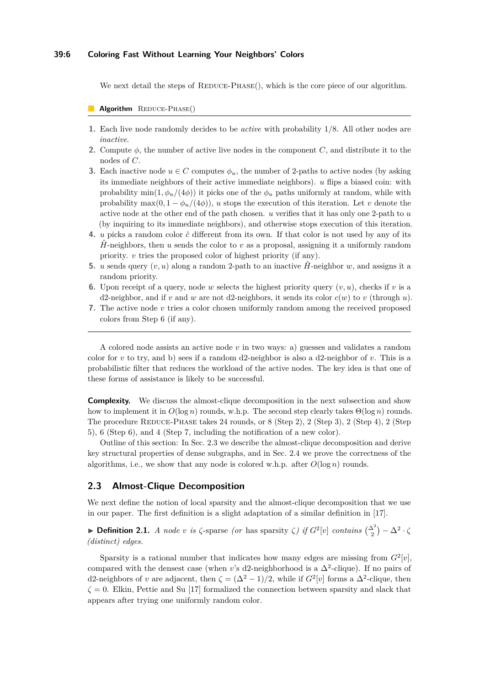## **39:6 Coloring Fast Without Learning Your Neighbors' Colors**

We next detail the steps of  $REDUCE-PHASE()$ , which is the core piece of our algorithm.

#### Algorithm REDUCE-PHASE()

- **1.** Each live node randomly decides to be *active* with probability 1*/*8. All other nodes are *inactive*.
- **2.** Compute *φ*, the number of active live nodes in the component *C*, and distribute it to the nodes of *C*.
- **3.** Each inactive node  $u \in C$  computes  $\phi_u$ , the number of 2-paths to active nodes (by asking its immediate neighbors of their active immediate neighbors). *u* flips a biased coin: with probability min(1,  $\phi_u/(4\phi)$ ) it picks one of the  $\phi_u$  paths uniformly at random, while with probability max $(0, 1 - \phi_u/(4\phi))$ , *u* stops the execution of this iteration. Let *v* denote the active node at the other end of the path chosen. *u* verifies that it has only one 2-path to *u* (by inquiring to its immediate neighbors), and otherwise stops execution of this iteration.
- **4.** *u* picks a random color  $\hat{c}$  different from its own. If that color is not used by any of its  $\hat{H}$ -neighbors, then *u* sends the color to *v* as a proposal, assigning it a uniformly random priority. *v* tries the proposed color of highest priority (if any).
- **5.** *u* sends query  $(v, u)$  along a random 2-path to an inactive  $\hat{H}$ -neighbor *w*, and assigns it a random priority.
- **6.** Upon receipt of a query, node *w* selects the highest priority query  $(v, u)$ , checks if *v* is a d2-neighbor, and if *v* and *w* are not d2-neighbors, it sends its color  $c(w)$  to *v* (through *u*).
- **7.** The active node *v* tries a color chosen uniformly random among the received proposed colors from Step 6 (if any).

A colored node assists an active node *v* in two ways: a) guesses and validates a random color for  $v$  to try, and b) sees if a random d2-neighbor is also a d2-neighbor of  $v$ . This is a probabilistic filter that reduces the workload of the active nodes. The key idea is that one of these forms of assistance is likely to be successful.

**Complexity.** We discuss the almost-clique decomposition in the next subsection and show how to implement it in  $O(\log n)$  rounds, w.h.p. The second step clearly takes  $\Theta(\log n)$  rounds. The procedure REDUCE-PHASE takes 24 rounds, or  $8$  (Step 2), 2 (Step 3), 2 (Step 4), 2 (Step 5), 6 (Step 6), and 4 (Step 7, including the notification of a new color).

Outline of this section: In Sec. [2.3](#page-5-0) we describe the almost-clique decomposition and derive key structural properties of dense subgraphs, and in Sec. [2.4](#page-7-0) we prove the correctness of the algorithms, i.e., we show that any node is colored w.h.p. after  $O(\log n)$  rounds.

### <span id="page-5-0"></span>**2.3 Almost-Clique Decomposition**

We next define the notion of local sparsity and the almost-clique decomposition that we use in our paper. The first definition is a slight adaptation of a similar definition in [\[17\]](#page-15-12).

**► Definition 2.1.** *A node v is*  $\zeta$ -sparse *(or* has sparsity  $\zeta$ *) if*  $G^2[v]$  *contains*  $\binom{\Delta^2}{2} - \Delta^2 \cdot \zeta$ *(distinct) edges.*

<span id="page-5-1"></span>Sparsity is a rational number that indicates how many edges are missing from  $G^2[v]$ , compared with the densest case (when *v*'s d2-neighborhood is a  $\Delta^2$ -clique). If no pairs of d2-neighbors of *v* are adjacent, then  $\zeta = (\Delta^2 - 1)/2$ , while if  $G^2[v]$  forms a  $\Delta^2$ -clique, then  $\zeta = 0$ . Elkin, Pettie and Su [\[17\]](#page-15-12) formalized the connection between sparsity and slack that appears after trying one uniformly random color.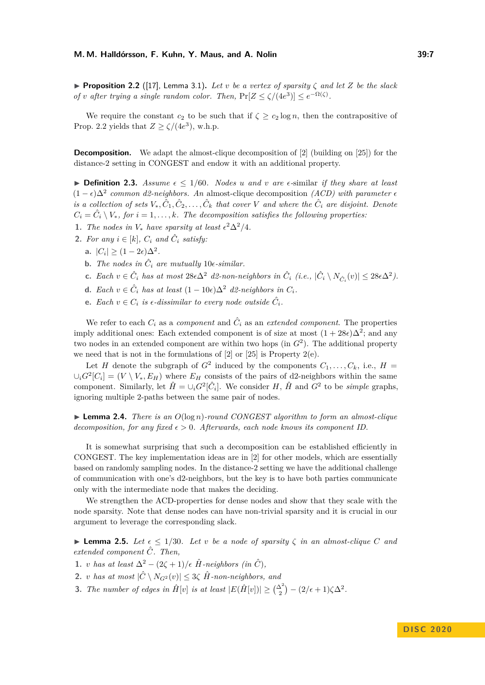**Proposition 2.2** ([\[17\]](#page-15-12), Lemma 3.1). Let *v* be a vertex of sparsity  $\zeta$  and let  $Z$  be the slack *of v after trying a single random color. Then,*  $Pr[Z \leq \zeta/(4e^3)] \leq e^{-\Omega(\zeta)}$ .

We require the constant  $c_2$  to be such that if  $\zeta \geq c_2 \log n$ , then the contrapositive of Prop. [2.2](#page-5-1) yields that  $Z \ge \zeta/(4e^3)$ , w.h.p.

**Decomposition.** We adapt the almost-clique decomposition of [\[2\]](#page-15-13) (building on [\[25\]](#page-16-15)) for the distance-2 setting in CONGEST and endow it with an additional property.

<span id="page-6-2"></span> $\triangleright$  **Definition 2.3.** *Assume*  $\epsilon \leq 1/60$ *. Nodes u and v are*  $\epsilon$ -similar *if they share at least*  $(1 - \epsilon)\Delta^2$  *common d2-neighbors. An* almost-clique decomposition *(ACD)* with parameter  $\epsilon$ *is a collection of sets*  $V_*, \hat{C}_1, \hat{C}_2, \ldots, \hat{C}_k$  *that cover*  $V$  *and where the*  $\hat{C}_i$  *are disjoint. Denote*  $C_i = \hat{C}_i \setminus V_*,$  for  $i = 1, \ldots, k$ *. The decomposition satisfies the following properties:* 

- 1. *The nodes in*  $V_*$  *have sparsity at least*  $\epsilon^2 \Delta^2 / 4$ *.*
- **2.** For any  $i \in [k]$ ,  $C_i$  and  $\hat{C}_i$  satisfy:
	- a.  $|C_i| \geq (1-2\epsilon)\Delta^2$ .
	- **b.** *The nodes in*  $\hat{C}_i$  *are mutually* 10 $\epsilon$ -*similar.*
	- **c.** *Each*  $v \in \hat{C}_i$  *has at most*  $28\epsilon\Delta^2$  *d2-non-neighbors in*  $\hat{C}_i$  (*i.e.*,  $|\hat{C}_i \setminus N_{\hat{C}_i}(v)| \leq 28\epsilon\Delta^2$ ).
	- **d.** *Each*  $v \in \hat{C}_i$  *has at least*  $(1 10\epsilon)\Delta^2$  *d2-neighbors in*  $C_i$ *.*
	- **e.** Each  $v \in C_i$  is  $\epsilon$ -dissimilar to every node outside  $\hat{C}_i$ .

<span id="page-6-0"></span>We refer to each  $C_i$  as a *component* and  $\hat{C}_i$  as an *extended component*. The properties imply additional ones: Each extended component is of size at most  $(1+28\epsilon)\Delta^2$ ; and any two nodes in an extended component are within two hops (in *G*<sup>2</sup> ). The additional property we need that is not in the formulations of [\[2\]](#page-15-13) or [\[25\]](#page-16-15) is Property 2(e).

Let *H* denote the subgraph of  $G^2$  induced by the components  $C_1, \ldots, C_k$ , i.e.,  $H =$  $\cup_i G^2[C_i] = (V \setminus V_*, E_H)$  where  $E_H$  consists of the pairs of d2-neighbors within the same component. Similarly, let  $\hat{H} = \cup_i G^2[\hat{C}_i]$ . We consider *H*,  $\hat{H}$  and  $G^2$  to be *simple* graphs, ignoring multiple 2-paths between the same pair of nodes.

**Lemma 2.4.** *There is an*  $O(\log n)$ *-round CONGEST algorithm to form an almost-clique decomposition, for any fixed*  $\epsilon > 0$ *. Afterwards, each node knows its component ID.* 

It is somewhat surprising that such a decomposition can be established efficiently in CONGEST. The key implementation ideas are in [\[2\]](#page-15-13) for other models, which are essentially based on randomly sampling nodes. In the distance-2 setting we have the additional challenge of communication with one's d2-neighbors, but the key is to have both parties communicate only with the intermediate node that makes the deciding.

We strengthen the ACD-properties for dense nodes and show that they scale with the node sparsity. Note that dense nodes can have non-trivial sparsity and it is crucial in our argument to leverage the corresponding slack.

**Example 1 Lemma 2.5.** Let  $\epsilon \leq 1/30$ . Let v be a node of sparsity  $\zeta$  in an almost-clique C and *extended component C*ˆ*. Then,*

- **1.** *v has at least*  $\Delta^2 (2\zeta + 1)/\epsilon$   $\hat{H}$ -neighbors (in  $\hat{C}$ ),
- **2.** *v has at most*  $|\hat{C} \setminus N_{G^2}(v)| \leq 3\zeta \hat{H}$ -non-neighbors, and
- <span id="page-6-1"></span>**3.** *The number of edges in*  $\hat{H}[v]$  *is at least*  $|E(\hat{H}[v])| \geq {\frac{\Delta^2}{2}} - (2/\epsilon + 1)\zeta \Delta^2$ .

**D I S C 2 0 2 0**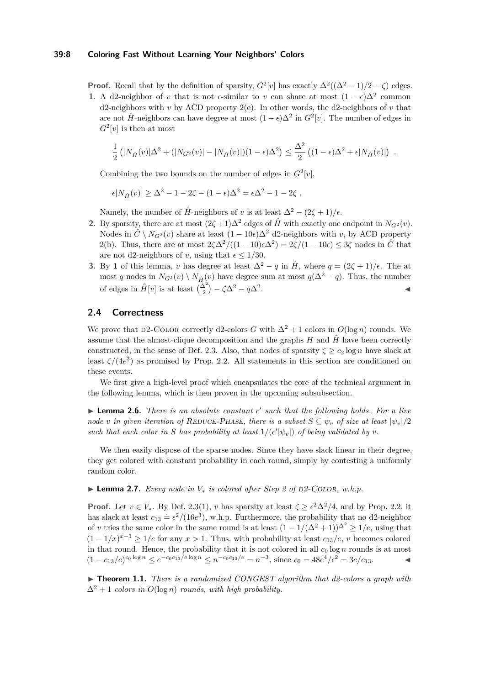#### **39:8 Coloring Fast Without Learning Your Neighbors' Colors**

**Proof.** Recall that by the definition of sparsity,  $G^2[v]$  has exactly  $\Delta^2((\Delta^2-1)/2-\zeta)$  edges.

**1.** A d2-neighbor of *v* that is not  $\epsilon$ -similar to *v* can share at most  $(1 - \epsilon)\Delta^2$  common d2-neighbors with *v* by ACD property  $2(e)$ . In other words, the d2-neighbors of *v* that are not  $\hat{H}$ -neighbors can have degree at most  $(1 - \epsilon)\Delta^2$  in  $G^2[v]$ . The number of edges in  $G^2[v]$  is then at most

$$
\frac{1}{2} \left( |N_{\hat{H}}(v)|\Delta^2 + (|N_{G^2}(v)| - |N_{\hat{H}}(v)|)(1 - \epsilon)\Delta^2 \right) \le \frac{\Delta^2}{2} \left( (1 - \epsilon)\Delta^2 + \epsilon |N_{\hat{H}}(v)| \right) .
$$

Combining the two bounds on the number of edges in  $G^2[v]$ ,

$$
\epsilon |N_{\hat{H}}(v)| \geq \Delta^2 - 1 - 2\zeta - (1 - \epsilon)\Delta^2 = \epsilon \Delta^2 - 1 - 2\zeta.
$$

Namely, the number of  $\hat{H}$ -neighbors of *v* is at least  $\Delta^2 - (2\zeta + 1)/\epsilon$ .

- **2.** By sparsity, there are at most  $(2\zeta + 1)\Delta^2$  edges of  $\hat{H}$  with exactly one endpoint in  $N_{G^2}(v)$ . Nodes in  $\hat{C} \setminus N_{G^2}(v)$  share at least  $(1 - 10\epsilon)\Delta^2$  d2-neighbors with *v*, by ACD property 2(b). Thus, there are at most  $2\zeta\Delta^2/((1-10)\epsilon\Delta^2) = 2\zeta/(1-10\epsilon) \leq 3\zeta$  nodes in  $\hat{C}$  that are not d2-neighbors of *v*, using that  $\epsilon \leq 1/30$ .
- **3.** By **1** of this lemma, *v* has degree at least  $\Delta^2 q$  in  $\hat{H}$ , where  $q = (2\zeta + 1)/\epsilon$ . The at most *q* nodes in  $N_{G^2}(v) \setminus N_{\hat{H}}(v)$  have degree sum at most  $q(\Delta^2 - q)$ . Thus, the number of edges in  $\hat{H}[v]$  is at least  $\binom{\Delta^2}{2} - \zeta \Delta^2 - q \Delta^2$ . J

## <span id="page-7-0"></span>**2.4 Correctness**

We prove that D2-COLOR correctly d2-colors *G* with  $\Delta^2 + 1$  colors in  $O(\log n)$  rounds. We assume that the almost-clique decomposition and the graphs  $H$  and  $\hat{H}$  have been correctly constructed, in the sense of Def. [2.3.](#page-6-0) Also, that nodes of sparsity  $\zeta \ge c_2 \log n$  have slack at least  $\zeta/(4e^3)$  as promised by Prop. [2.2.](#page-5-1) All statements in this section are conditioned on these events.

We first give a high-level proof which encapsulates the core of the technical argument in the following lemma, which is then proven in the upcoming subsubsection.

<span id="page-7-2"></span>▶ Lemma 2.6. *There is an absolute constant c' such that the following holds. For a live node v in given iteration of* REDUCE-PHASE, there is a subset  $S \subseteq \psi_v$  of size at least  $|\psi_v|/2$ such that each color in *S* has probability at least  $1/(c'|\psi_v|)$  of being validated by  $v$ .

We then easily dispose of the sparse nodes. Since they have slack linear in their degree, they get colored with constant probability in each round, simply by contesting a uniformly random color.

<span id="page-7-1"></span>**► Lemma 2.7.** *Every node in*  $V_*$  *is colored after Step 2 of D2-COLOR, w.h.p.* 

**Proof.** Let  $v \in V_*$ . By Def. [2.3\(](#page-6-0)1), *v* has sparsity at least  $\zeta \geq \epsilon^2 \Delta^2/4$ , and by Prop. [2.2,](#page-5-1) it has slack at least  $c_{13} \doteq \epsilon^2/(16e^3)$ , w.h.p. Furthermore, the probability that no d2-neighbor of *v* tries the same color in the same round is at least  $(1 - 1/(\Delta^2 + 1))^{\Delta^2} \ge 1/e$ , using that  $(1 - 1/x)^{x-1} \ge 1/e$  for any  $x > 1$ . Thus, with probability at least  $c_{13}/e$ , *v* becomes colored in that round. Hence, the probability that it is not colored in all  $c_0 \log n$  rounds is at most  $(1 - c_{13}/e)^{c_0 \log n}$  ≤  $e^{-c_0 c_{13}/e \log n}$  ≤  $n^{-c_0 c_{13}/e} = n^{-3}$ , since  $c_0 = 48e^4/\epsilon^2 = 3e/c_{13}$ . <br>**■** 

▶ **Theorem 1.1.** *There is a randomized CONGEST algorithm that d2-colors a graph with*  $\Delta^2 + 1$  *colors in*  $O(\log n)$  *rounds, with high probability.*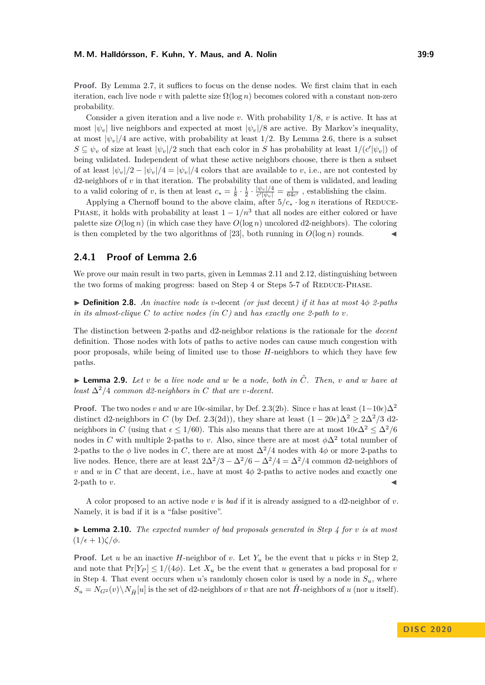**Proof.** By Lemma [2.7,](#page-7-1) it suffices to focus on the dense nodes. We first claim that in each iteration, each live node *v* with palette size  $\Omega(\log n)$  becomes colored with a constant non-zero probability.

Consider a given iteration and a live node *v*. With probability 1/8, *v* is active. It has at most  $|\psi_v|$  live neighbors and expected at most  $|\psi_v|/8$  are active. By Markov's inequality, at most  $|\psi_n|/4$  are active, with probability at least  $1/2$ . By Lemma [2.6,](#page-7-2) there is a subset  $S \subseteq \psi_v$  of size at least  $|\psi_v|/2$  such that each color in *S* has probability at least  $1/(c'|\psi_v|)$  of being validated. Independent of what these active neighbors choose, there is then a subset of at least  $|\psi_v|/2 - |\psi_v|/4 = |\psi_v|/4$  colors that are available to *v*, i.e., are not contested by d2-neighbors of *v* in that iteration. The probability that one of them is validated, and leading to a valid coloring of *v*, is then at least  $c_* = \frac{1}{8} \cdot \frac{1}{2} \cdot \frac{|\psi_v|/4}{c'|\psi_v|} = \frac{1}{64c'}$ , establishing the claim.

Applying a Chernoff bound to the above claim, after  $5/c_* \cdot \log n$  iterations of REDUCE-PHASE, it holds with probability at least  $1 - 1/n^3$  that all nodes are either colored or have palette size  $O(\log n)$  (in which case they have  $O(\log n)$  uncolored d2-neighbors). The coloring is then completed by the two algorithms of [\[23\]](#page-16-3), both running in  $O(\log n)$  rounds.

## **2.4.1 Proof of Lemma [2.6](#page-7-2)**

We prove our main result in two parts, given in Lemmas [2.11](#page-9-0) and [2.12,](#page-9-1) distinguishing between the two forms of making progress: based on Step 4 or Steps 5-7 of REDUCE-PHASE.

 $\triangleright$  **Definition 2.8.** *An inactive node is v*-decent *(or just decent) if it has at most*  $4\phi$  *2-paths in its almost-clique*  $C$  *to active nodes (in*  $C$ ) and *has exactly one 2-path to v*.

The distinction between 2-paths and d2-neighbor relations is the rationale for the *decent* definition. Those nodes with lots of paths to active nodes can cause much congestion with poor proposals, while being of limited use to those *H*-neighbors to which they have few paths.

<span id="page-8-0"></span> $\blacktriangleright$  **Lemma 2.9.** Let *v* be a live node and *w* be a node, both in  $\hat{C}$ . Then, *v* and *w* have at *least*  $\Delta^2/4$  *common d2-neighbors in C that are v-decent.* 

**Proof.** The two nodes *v* and *w* are 10 $\epsilon$ -similar, by Def. [2.3\(](#page-6-0)2b). Since *v* has at least  $(1-10\epsilon)\Delta^2$ distinct d2-neighbors in *C* (by Def. [2.3\(](#page-6-0)2d)), they share at least  $(1 - 20\epsilon)\Delta^2 > 2\Delta^2/3$  d2neighbors in *C* (using that  $\epsilon \leq 1/60$ ). This also means that there are at most  $10\epsilon\Delta^2 \leq \Delta^2/6$ nodes in *C* with multiple 2-paths to *v*. Also, since there are at most  $\phi \Delta^2$  total number of 2-paths to the  $\phi$  live nodes in *C*, there are at most  $\Delta^2/4$  nodes with  $4\phi$  or more 2-paths to live nodes. Hence, there are at least  $2\Delta^2/3 - \Delta^2/6 - \Delta^2/4 = \Delta^2/4$  common d2-neighbors of *v* and *w* in *C* that are decent, i.e., have at most  $4\phi$  2-paths to active nodes and exactly one 2-path to  $v$ .

A color proposed to an active node *v* is *bad* if it is already assigned to a d2-neighbor of *v*. Namely, it is bad if it is a "false positive".

<span id="page-8-1"></span> $\blacktriangleright$  **Lemma 2.10.** *The expected number of bad proposals generated in Step 4 for v is at most*  $(1/\epsilon+1)\zeta/\phi$ .

**Proof.** Let *u* be an inactive *H*-neighbor of *v*. Let  $Y_u$  be the event that *u* picks *v* in Step 2. and note that  $Pr[Y_P] \leq 1/(4\phi)$ . Let  $X_u$  be the event that *u* generates a bad proposal for *v* in Step 4. That event occurs when *u*'s randomly chosen color is used by a node in  $S_u$ , where  $S_u = N_{G^2}(v) \setminus N_{\hat{H}}[u]$  is the set of d2-neighbors of *v* that are not  $\hat{H}$ -neighbors of *u* (nor *u* itself).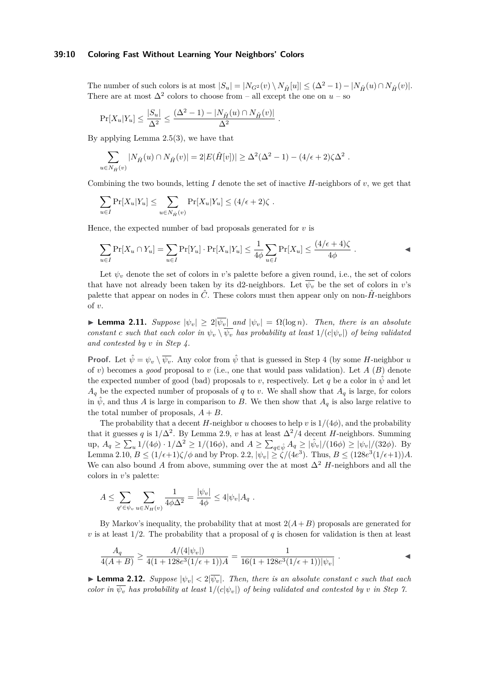#### **39:10 Coloring Fast Without Learning Your Neighbors' Colors**

The number of such colors is at most  $|S_u| = |N_{G^2}(v) \setminus N_{\hat{H}}[u]| \leq (\Delta^2 - 1) - |N_{\hat{H}}(u) \cap N_{\hat{H}}(v)|$ . There are at most  $\Delta^2$  colors to choose from – all except the one on  $u$  – so

*.*

$$
\Pr[X_u|Y_u] \leq \frac{|S_u|}{\Delta^2} \leq \frac{(\Delta^2 - 1) - |N_{\hat{H}}(u) \cap N_{\hat{H}}(v)|}{\Delta^2}
$$

By applying Lemma  $2.5(3)$ , we have that

$$
\sum_{u \in N_{\hat{H}}(v)} |N_{\hat{H}}(u) \cap N_{\hat{H}}(v)| = 2|E(\hat{H}[v])| \ge \Delta^2(\Delta^2 - 1) - (4/\epsilon + 2)\zeta\Delta^2.
$$

Combining the two bounds, letting  $I$  denote the set of inactive  $H$ -neighbors of  $v$ , we get that

$$
\sum_{u \in I} \Pr[X_u | Y_u] \le \sum_{u \in N_{\hat{H}}(v)} \Pr[X_u | Y_u] \le (4/\epsilon + 2)\zeta.
$$

Hence, the expected number of bad proposals generated for *v* is

$$
\sum_{u \in I} \Pr[X_u \cap Y_u] = \sum_{u \in I} \Pr[Y_u] \cdot \Pr[X_u | Y_u] \le \frac{1}{4\phi} \sum_{u \in I} \Pr[X_u] \le \frac{(4/\epsilon + 4)\zeta}{4\phi} .
$$

Let  $\psi_v$  denote the set of colors in *v*'s palette before a given round, i.e., the set of colors that have not already been taken by its d2-neighbors. Let  $\overline{\psi_v}$  be the set of colors in *v*'s palette that appear on nodes in  $\hat{C}$ . These colors must then appear only on non- $\hat{H}$ -neighbors of *v*.

<span id="page-9-0"></span> $\blacktriangleright$  **Lemma 2.11.** *Suppose*  $|\psi_v| ≥ 2|\overline{\psi_v}|$  *and*  $|\psi_v| = Ω(log n)$ *. Then, there is an absolute constant c such that each color in*  $\psi_v \setminus \overline{\psi_v}$  *has probability at least*  $1/(c|\psi_v|)$  *of being validated and contested by v in Step 4.*

**Proof.** Let  $\hat{\psi} = \psi_v \setminus \overline{\psi_v}$ . Any color from  $\hat{\psi}$  that is guessed in Step 4 (by some *H*-neighbor *u* of *v*) becomes a *good* proposal to *v* (i.e., one that would pass validation). Let *A* (*B*) denote the expected number of good (bad) proposals to *v*, respectively. Let *q* be a color in  $\psi$  and let  $A_q$  be the expected number of proposals of *q* to *v*. We shall show that  $A_q$  is large, for colors in  $\hat{\psi}$ , and thus *A* is large in comparison to *B*. We then show that  $A_q$  is also large relative to the total number of proposals,  $A + B$ .

The probability that a decent *H*-neighbor *u* chooses to help *v* is  $1/(4\phi)$ , and the probability that it guesses *q* is  $1/\Delta^2$ . By Lemma [2.9,](#page-8-0) *v* has at least  $\Delta^2/4$  decent *H*-neighbors. Summing up,  $A_q \ge \sum_u 1/(4\phi) \cdot 1/\Delta^2 \ge 1/(16\phi)$ , and  $A \ge \sum_{q \in \hat{\psi}} A_q \ge |\hat{\psi}_v|/(16\phi) \ge |\psi_v|/(32\phi)$ . By Lemma [2.10,](#page-8-1)  $B \leq (1/\epsilon+1)\zeta/\phi$  and by Prop. [2.2,](#page-5-1)  $|\psi_v| \geq \zeta/(4e^3)$ . Thus,  $B \leq (128e^3(1/\epsilon+1))A$ . We can also bound A from above, summing over the at most  $\Delta^2$  H-neighbors and all the colors in *v*'s palette:

$$
A \le \sum_{q' \in \psi_v} \sum_{u \in N_H(v)} \frac{1}{4\phi\Delta^2} = \frac{|\psi_v|}{4\phi} \le 4|\psi_v| A_q.
$$

By Markov's inequality, the probability that at most  $2(A+B)$  proposals are generated for *v* is at least  $1/2$ . The probability that a proposal of *q* is chosen for validation is then at least

$$
\frac{A_q}{4(A+B)} \ge \frac{A/(4|\psi_v|)}{4(1+128e^3(1/\epsilon+1))A} = \frac{1}{16(1+128e^3(1/\epsilon+1))|\psi_v|} .
$$

<span id="page-9-1"></span>**Lemma 2.12.** *Suppose*  $|\psi_v| < 2|\overline{\psi_v}|$ . *Then, there is an absolute constant c such that each color in*  $\overline{\psi_v}$  *has probability at least*  $1/(c|\psi_v|)$  *of being validated and contested by v in Step 7.*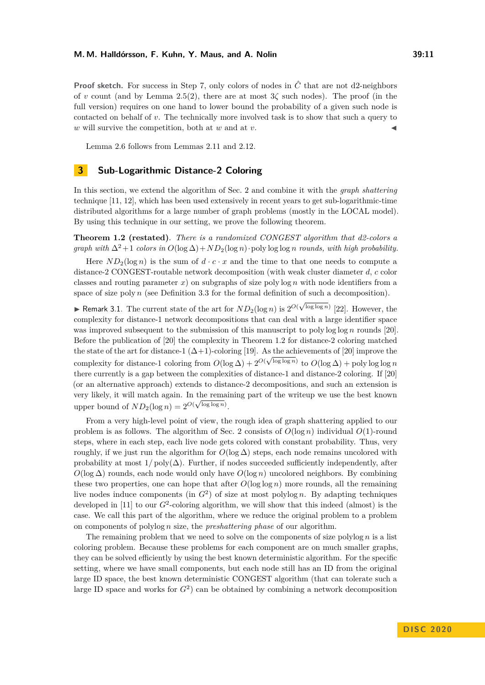**Proof sketch.** For success in Step 7, only colors of nodes in  $\hat{C}$  that are not d2-neighbors of *v* count (and by Lemma [2.5\(](#page-6-1)2), there are at most  $3\zeta$  such nodes). The proof (in the full version) requires on one hand to lower bound the probability of a given such node is contacted on behalf of *v*. The technically more involved task is to show that such a query to  $w$  will survive the competition, both at  $w$  and at  $v$ .

Lemma [2.6](#page-7-2) follows from Lemmas [2.11](#page-9-0) and [2.12.](#page-9-1)

# <span id="page-10-0"></span>**3 Sub-Logarithmic Distance-2 Coloring**

In this section, we extend the algorithm of Sec. [2](#page-3-0) and combine it with the *graph shattering* technique [\[11,](#page-15-11) [12\]](#page-15-14), which has been used extensively in recent years to get sub-logarithmic-time distributed algorithms for a large number of graph problems (mostly in the LOCAL model). By using this technique in our setting, we prove the following theorem.

**Theorem [1.2](#page-2-0) (restated)**. *There is a randomized CONGEST algorithm that d2-colors a graph with*  $\Delta^2 + 1$  *colors in*  $O(\log \Delta) + ND_2(\log n) \cdot \text{poly} \log \log n$  *rounds, with high probability.* 

Here  $ND_2(\log n)$  is the sum of  $d \cdot c \cdot x$  and the time to that one needs to compute a distance-2 CONGEST-routable network decomposition (with weak cluster diameter *d*, *c* color classes and routing parameter *x*) on subgraphs of size poly log *n* with node identifiers from a space of size poly *n* (see Definition [3.3](#page-6-2) for the formal definition of such a decomposition).

► Remark 3.1. The current state of the art for  $ND_2(\log n)$  is  $2^{O(\sqrt{\log \log n})}$  [\[22\]](#page-16-13). However, the complexity for distance-1 network decompositions that can deal with a large identifier space was improved subsequent to the submission of this manuscript to poly log log *n* rounds [\[20\]](#page-16-12). Before the publication of [\[20\]](#page-16-12) the complexity in Theorem [1.2](#page-2-0) for distance-2 coloring matched the state of the art for distance-1 ( $\Delta+1$ )-coloring [\[19\]](#page-16-11). As the achievements of [\[20\]](#page-16-12) improve the complexity for distance-1 coloring from  $O(\log \Delta) + 2^{O(\sqrt{\log \log n})}$  to  $O(\log \Delta) + \text{polylog log n}$ there currently is a gap between the complexities of distance-1 and distance-2 coloring. If [\[20\]](#page-16-12) (or an alternative approach) extends to distance-2 decompositions, and such an extension is very likely, it will match again. In the remaining part of the writeup we use the best known upper bound of  $ND_2(\log n) = 2^{O(\sqrt{\log \log n})}$ .

From a very high-level point of view, the rough idea of graph shattering applied to our problem is as follows. The algorithm of Sec. [2](#page-3-0) consists of *O*(log *n*) individual *O*(1)-round steps, where in each step, each live node gets colored with constant probability. Thus, very roughly, if we just run the algorithm for  $O(\log \Delta)$  steps, each node remains uncolored with probability at most  $1/poly(\Delta)$ . Further, if nodes succeeded sufficiently independently, after  $O(\log \Delta)$  rounds, each node would only have  $O(\log n)$  uncolored neighbors. By combining these two properties, one can hope that after  $O(\log \log n)$  more rounds, all the remaining live nodes induce components (in *G*<sup>2</sup> ) of size at most polylog *n*. By adapting techniques developed in  $[11]$  to our  $G^2$ -coloring algorithm, we will show that this indeed (almost) is the case. We call this part of the algorithm, where we reduce the original problem to a problem on components of polylog *n* size, the *preshattering phase* of our algorithm.

The remaining problem that we need to solve on the components of size polylog  $n$  is a list coloring problem. Because these problems for each component are on much smaller graphs, they can be solved efficiently by using the best known deterministic algorithm. For the specific setting, where we have small components, but each node still has an ID from the original large ID space, the best known deterministic CONGEST algorithm (that can tolerate such a large ID space and works for  $G^2$ ) can be obtained by combining a network decomposition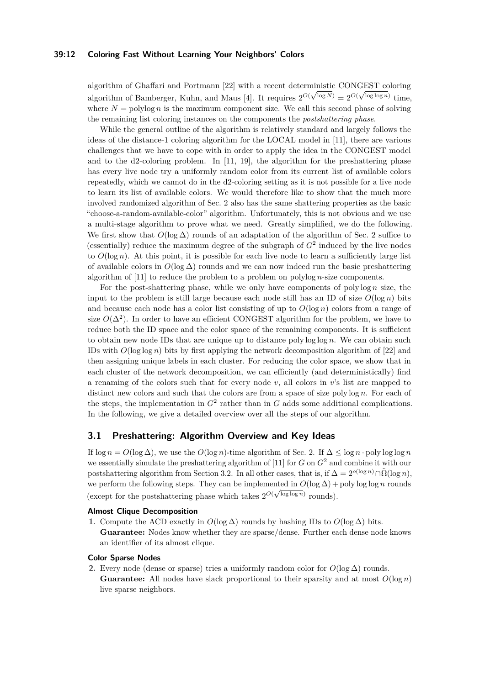#### **39:12 Coloring Fast Without Learning Your Neighbors' Colors**

algorithm of Ghaffari and Portmann [\[22\]](#page-16-13) with a recent deterministic CONGEST coloring algorithm of Bamberger, Kuhn, and Maus [\[4\]](#page-15-10). It requires  $2^{O(\sqrt{\log N})} = 2^{O(\sqrt{\log \log n})}$  time, where  $N = \text{polylog } n$  is the maximum component size. We call this second phase of solving the remaining list coloring instances on the components the *postshattering phase*.

While the general outline of the algorithm is relatively standard and largely follows the ideas of the distance-1 coloring algorithm for the LOCAL model in [\[11\]](#page-15-11), there are various challenges that we have to cope with in order to apply the idea in the CONGEST model and to the d2-coloring problem. In [\[11,](#page-15-11) [19\]](#page-16-11), the algorithm for the preshattering phase has every live node try a uniformly random color from its current list of available colors repeatedly, which we cannot do in the d2-coloring setting as it is not possible for a live node to learn its list of available colors. We would therefore like to show that the much more involved randomized algorithm of Sec. [2](#page-3-0) also has the same shattering properties as the basic "choose-a-random-available-color" algorithm. Unfortunately, this is not obvious and we use a multi-stage algorithm to prove what we need. Greatly simplified, we do the following. We first show that  $O(\log \Delta)$  rounds of an adaptation of the algorithm of Sec. [2](#page-3-0) suffice to (essentially) reduce the maximum degree of the subgraph of  $G<sup>2</sup>$  induced by the live nodes to  $O(\log n)$ . At this point, it is possible for each live node to learn a sufficiently large list of available colors in  $O(\log \Delta)$  rounds and we can now indeed run the basic preshattering algorithm of [\[11\]](#page-15-11) to reduce the problem to a problem on polylog *n*-size components.

For the post-shattering phase, while we only have components of poly log *n* size, the input to the problem is still large because each node still has an ID of size  $O(\log n)$  bits and because each node has a color list consisting of up to  $O(\log n)$  colors from a range of size  $O(\Delta^2)$ . In order to have an efficient CONGEST algorithm for the problem, we have to reduce both the ID space and the color space of the remaining components. It is sufficient to obtain new node IDs that are unique up to distance poly log log *n*. We can obtain such IDs with  $O(\log \log n)$  bits by first applying the network decomposition algorithm of [\[22\]](#page-16-13) and then assigning unique labels in each cluster. For reducing the color space, we show that in each cluster of the network decomposition, we can efficiently (and deterministically) find a renaming of the colors such that for every node *v*, all colors in *v*'s list are mapped to distinct new colors and such that the colors are from a space of size poly log *n*. For each of the steps, the implementation in  $G^2$  rather than in  $G$  adds some additional complications. In the following, we give a detailed overview over all the steps of our algorithm.

## **3.1 Preshattering: Algorithm Overview and Key Ideas**

If  $\log n = O(\log \Delta)$ , we use the  $O(\log n)$ -time algorithm of Sec. [2.](#page-3-0) If  $\Delta \leq \log n \cdot \text{poly}\log \log n$ we essentially simulate the preshattering algorithm of [\[11\]](#page-15-11) for *G* on *G*<sup>2</sup> and combine it with our postshattering algorithm from Section [3.2.](#page-13-0) In all other cases, that is, if  $\Delta = 2^{o(\log n)} \cap \tilde{\Omega}(\log n)$ , we perform the following steps. They can be implemented in  $O(\log \Delta) + \text{poly} \log \log n$  rounds (except for the postshattering phase which takes  $2^{O(\sqrt{\log \log n})}$  rounds).

## **Almost Clique Decomposition**

**1.** Compute the ACD exactly in  $O(\log \Delta)$  rounds by hashing IDs to  $O(\log \Delta)$  bits. **Guarantee:** Nodes know whether they are sparse/dense. Further each dense node knows an identifier of its almost clique.

## **Color Sparse Nodes**

**2.** Every node (dense or sparse) tries a uniformly random color for  $O(\log \Delta)$  rounds. **Guarantee:** All nodes have slack proportional to their sparsity and at most  $O(\log n)$ live sparse neighbors.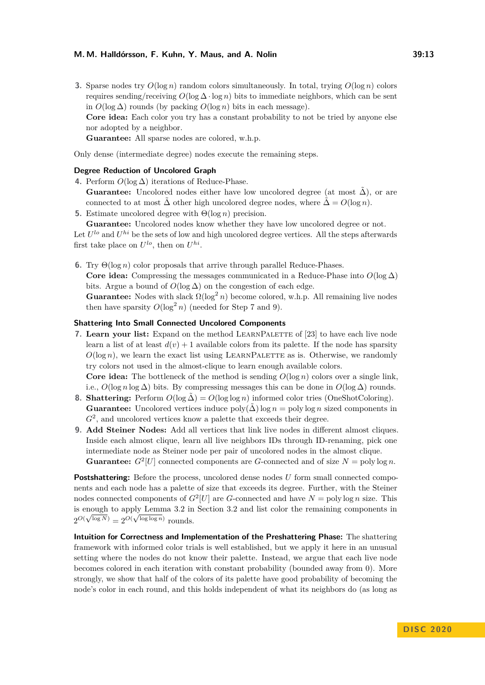**3.** Sparse nodes try *O*(log *n*) random colors simultaneously. In total, trying *O*(log *n*) colors requires sending/receiving  $O(\log \Delta \cdot \log n)$  bits to immediate neighbors, which can be sent in *O*(log ∆) rounds (by packing *O*(log *n*) bits in each message). **Core idea:** Each color you try has a constant probability to not be tried by anyone else nor adopted by a neighbor. **Guarantee:** All sparse nodes are colored, w.h.p.

Only dense (intermediate degree) nodes execute the remaining steps.

#### **Degree Reduction of Uncolored Graph**

- **4.** Perform *O*(log ∆) iterations of Reduce-Phase. **Guarantee:** Uncolored nodes either have low uncolored degree (at most  $\tilde{\Delta}$ ), or are connected to at most  $\Delta$  other high uncolored degree nodes, where  $\Delta = O(\log n)$ .
- <span id="page-12-2"></span>**5.** Estimate uncolored degree with Θ(log *n*) precision.

**Guarantee:** Uncolored nodes know whether they have low uncolored degree or not. Let  $U^{lo}$  and  $U^{hi}$  be the sets of low and high uncolored degree vertices. All the steps afterwards first take place on  $U^{lo}$ , then on  $U^{hi}$ .

**6.** Try Θ(log *n*) color proposals that arrive through parallel Reduce-Phases.

**Core idea:** Compressing the messages communicated in a Reduce-Phase into  $O(\log \Delta)$ bits. Argue a bound of  $O(\log \Delta)$  on the congestion of each edge.

**Guarantee:** Nodes with slack  $\Omega(\log^2 n)$  become colored, w.h.p. All remaining live nodes then have sparsity  $O(\log^2 n)$  (needed for Step [7](#page-12-0) and [9\)](#page-12-1).

#### **Shattering Into Small Connected Uncolored Components**

<span id="page-12-0"></span>**7.** Learn your list: Expand on the method LEARNPALETTE of [\[23\]](#page-16-3) to have each live node learn a list of at least  $d(v) + 1$  available colors from its palette. If the node has sparsity  $O(\log n)$ , we learn the exact list using LEARNPALETTE as is. Otherwise, we randomly try colors not used in the almost-clique to learn enough available colors.

**Core idea:** The bottleneck of the method is sending *O*(log *n*) colors over a single link, i.e.,  $O(\log n \log \Delta)$  bits. By compressing messages this can be done in  $O(\log \Delta)$  rounds.

- **8. Shattering:** Perform  $O(\log \Delta) = O(\log \log n)$  informed color tries (OneShotColoring). **Guarantee:** Uncolored vertices induce  $\text{poly}(\Delta) \log n = \text{poly} \log n$  sized components in  $G<sup>2</sup>$ , and uncolored vertices know a palette that exceeds their degree.
- <span id="page-12-1"></span>**9. Add Steiner Nodes:** Add all vertices that link live nodes in different almost cliques. Inside each almost clique, learn all live neighbors IDs through ID-renaming, pick one intermediate node as Steiner node per pair of uncolored nodes in the almost clique. **Guarantee:**  $G^2[U]$  connected components are *G*-connected and of size  $N = \text{poly}\log n$ .

**Postshattering:** Before the process, uncolored dense nodes *U* form small connected components and each node has a palette of size that exceeds its degree. Further, with the Steiner nodes connected components of  $G^2[U]$  are *G*-connected and have  $N = \text{poly}\log n$  size. This is enough to apply Lemma [3.2](#page-13-0) in Section 3.2 and list color the remaining components in  $2^{O(\sqrt{\log N})} = 2^{O(\sqrt{\log \log n})}$  rounds.

**Intuition for Correctness and Implementation of the Preshattering Phase:** The shattering framework with informed color trials is well established, but we apply it here in an unusual setting where the nodes do not know their palette. Instead, we argue that each live node becomes colored in each iteration with constant probability (bounded away from 0). More strongly, we show that half of the colors of its palette have good probability of becoming the node's color in each round, and this holds independent of what its neighbors do (as long as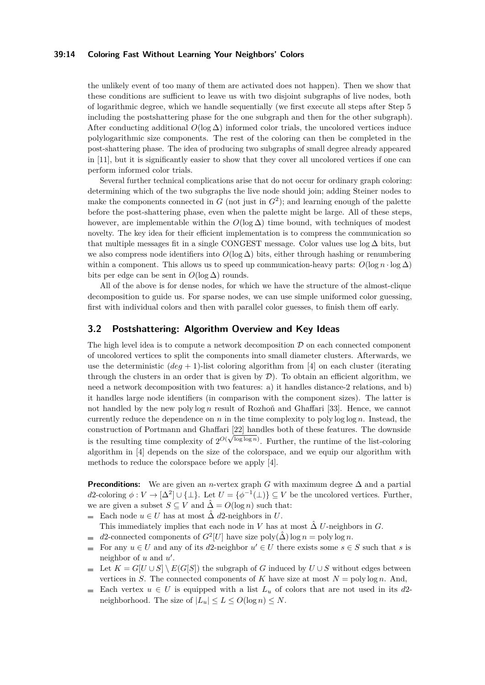#### **39:14 Coloring Fast Without Learning Your Neighbors' Colors**

the unlikely event of too many of them are activated does not happen). Then we show that these conditions are sufficient to leave us with two disjoint subgraphs of live nodes, both of logarithmic degree, which we handle sequentially (we first execute all steps after Step [5](#page-12-2) including the postshattering phase for the one subgraph and then for the other subgraph). After conducting additional  $O(\log \Delta)$  informed color trials, the uncolored vertices induce polylogarithmic size components. The rest of the coloring can then be completed in the post-shattering phase. The idea of producing two subgraphs of small degree already appeared in [\[11\]](#page-15-11), but it is significantly easier to show that they cover all uncolored vertices if one can perform informed color trials.

Several further technical complications arise that do not occur for ordinary graph coloring: determining which of the two subgraphs the live node should join; adding Steiner nodes to make the components connected in  $G$  (not just in  $G^2$ ); and learning enough of the palette before the post-shattering phase, even when the palette might be large. All of these steps, however, are implementable within the  $O(\log \Delta)$  time bound, with techniques of modest novelty. The key idea for their efficient implementation is to compress the communication so that multiple messages fit in a single CONGEST message. Color values use  $\log \Delta$  bits, but we also compress node identifiers into  $O(\log \Delta)$  bits, either through hashing or renumbering within a component. This allows us to speed up communication-heavy parts:  $O(\log n \cdot \log \Delta)$ bits per edge can be sent in  $O(\log \Delta)$  rounds.

All of the above is for dense nodes, for which we have the structure of the almost-clique decomposition to guide us. For sparse nodes, we can use simple uniformed color guessing, first with individual colors and then with parallel color guesses, to finish them off early.

## <span id="page-13-0"></span>**3.2 Postshattering: Algorithm Overview and Key Ideas**

The high level idea is to compute a network decomposition  $D$  on each connected component of uncolored vertices to split the components into small diameter clusters. Afterwards, we use the deterministic  $(\text{deg} + 1)$ -list coloring algorithm from [\[4\]](#page-15-10) on each cluster (iterating through the clusters in an order that is given by  $\mathcal{D}$ ). To obtain an efficient algorithm, we need a network decomposition with two features: a) it handles distance-2 relations, and b) it handles large node identifiers (in comparison with the component sizes). The latter is not handled by the new poly log *n* result of Rozhoň and Ghaffari [\[33\]](#page-16-6). Hence, we cannot currently reduce the dependence on  $n$  in the time complexity to poly  $\log \log n$ . Instead, the construction of Portmann and Ghaffari [\[22\]](#page-16-13) handles both of these features. The downside is the resulting time complexity of  $2^{O(\sqrt{\log \log n})}$ . Further, the runtime of the list-coloring algorithm in [\[4\]](#page-15-10) depends on the size of the colorspace, and we equip our algorithm with methods to reduce the colorspace before we apply [\[4\]](#page-15-10).

**Preconditions:** We are given an *n*-vertex graph *G* with maximum degree  $\Delta$  and a partial  $d$ 2-coloring  $\phi: V \to [\Delta^2] \cup {\{\perp\}}$ . Let  $U = {\phi^{-1}(\perp)} \subseteq V$  be the uncolored vertices. Further, we are given a subset  $S \subseteq V$  and  $\hat{\Delta} = O(\log n)$  such that:

- Each node  $u \in U$  has at most  $\hat{\Delta}$  *d*2-neighbors in *U*. ÷. This immediately implies that each node in *V* has at most  $\hat{\Delta}$  *U*-neighbors in *G*.
- $d$ 2-connected components of  $G^2[U]$  have size  $\text{poly}(\hat{\Delta}) \log n = \text{poly} \log n$ .  $\mathcal{L}_{\mathcal{A}}$
- For any  $u \in U$  and any of its *d*2-neighbor  $u' \in U$  there exists some  $s \in S$  such that *s* is  $\blacksquare$ neighbor of  $u$  and  $u'$ .
- Let  $K = G[U \cup S] \setminus E(G[S])$  the subgraph of *G* induced by  $U \cup S$  without edges between  $\blacksquare$ vertices in *S*. The connected components of *K* have size at most  $N = \text{poly}\log n$ . And,
- <span id="page-13-1"></span> $\equiv$ Each vertex  $u \in U$  is equipped with a list  $L_u$  of colors that are not used in its *d*2neighborhood. The size of  $|L_u| \le L \le O(\log n) \le N$ .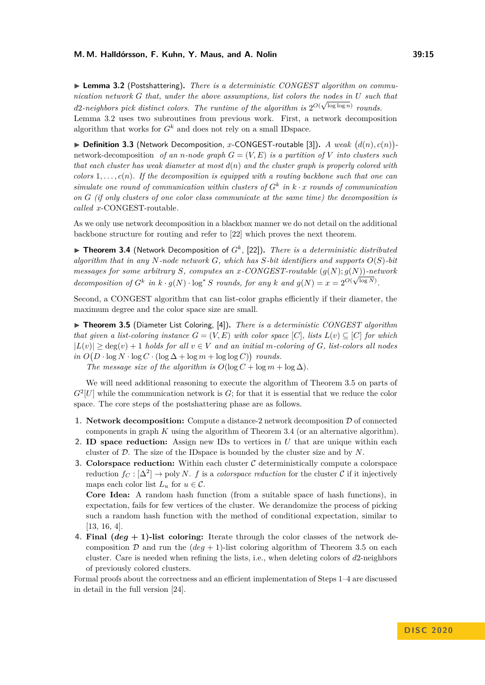▶ Lemma 3.2 (Postshattering). There is a deterministic CONGEST algorithm on commu*nication network G that, under the above assumptions, list colors the nodes in U such that d*2*-neighbors pick distinct colors. The runtime of the algorithm is*  $2^{O(\sqrt{\log \log n})}$  *rounds.* Lemma [3.2](#page-13-1) uses two subroutines from previous work. First, a network decomposition

algorithm that works for  $G^k$  and does not rely on a small IDspace.

 $\blacktriangleright$  **Definition 3.3** (Network Decomposition, *x*-CONGEST-routable [\[3\]](#page-15-15)). *A weak*  $(d(n), c(n))$ network-decomposition *of an n*-node graph  $G = (V, E)$  is a partition of V into clusters such *that each cluster has weak diameter at most d*(*n*) *and the cluster graph is properly colored with*  $colors 1, \ldots, c(n)$ . If the decomposition is equipped with a routing backbone such that one can *simulate one round of communication within clusters of*  $G^k$  *in*  $k \cdot x$  *rounds of communication on G (if only clusters of one color class communicate at the same time) the decomposition is called x*-CONGEST-routable*.*

As we only use network decomposition in a blackbox manner we do not detail on the additional backbone structure for routing and refer to [\[22\]](#page-16-13) which proves the next theorem.

<span id="page-14-1"></span> $\triangleright$  **Theorem 3.4** (Network Decomposition of  $G^k$ , [\[22\]](#page-16-13)). *There is a deterministic distributed algorithm that in any N-node network G, which has S-bit identifiers and supports O*(*S*)*-bit messages for some arbitrary S, computes an x-CONGEST-routable* (*g*(*N*); *g*(*N*))*-network* √ *decomposition of*  $G^k$  *in*  $k \cdot g(N) \cdot \log^* S$  *rounds, for any*  $k$  *and*  $g(N) = x = 2^{O(\sqrt{\log N})}$ .

Second, a CONGEST algorithm that can list-color graphs efficiently if their diameter, the maximum degree and the color space size are small.

<span id="page-14-0"></span>▶ **Theorem 3.5** (Diameter List Coloring, [\[4\]](#page-15-10)). *There is a deterministic CONGEST algorithm that given a list-coloring instance*  $G = (V, E)$  *with color space* [*C*]*, lists*  $L(v) \subseteq [C]$  *for which* |*L*(*v*)| ≥ deg(*v*) + 1 *holds for all v* ∈ *V and an initial m-coloring of G, list-colors all nodes*  $in \ O(D \cdot \log N \cdot \log C \cdot (\log \Delta + \log m + \log \log C))$  *rounds.* 

*The message size of the algorithm is*  $O(\log C + \log m + \log \Delta)$ .

We will need additional reasoning to execute the algorithm of Theorem [3.5](#page-14-0) on parts of  $G<sup>2</sup>[U]$  while the communication network is  $G$ ; for that it is essential that we reduce the color space. The core steps of the postshattering phase are as follows.

- **1. Network decomposition:** Compute a distance-2 network decomposition  $D$  of connected components in graph *K* using the algorithm of Theorem [3.4](#page-14-1) (or an alternative algorithm).
- **2. ID space reduction:** Assign new IDs to vertices in *U* that are unique within each cluster of D. The size of the IDspace is bounded by the cluster size and by *N*.
- **3. Colorspace reduction:** Within each cluster C deterministically compute a colorspace reduction  $f_C : [\Delta^2] \to \text{poly } N$ . *f* is a *colorspace reduction* for the cluster C if it injectively maps each color list  $L_u$  for  $u \in \mathcal{C}$ .

**Core Idea:** A random hash function (from a suitable space of hash functions), in expectation, fails for few vertices of the cluster. We derandomize the process of picking such a random hash function with the method of conditional expectation, similar to [\[13,](#page-15-16) [16,](#page-15-17) [4\]](#page-15-10).

**4. Final (***deg* **+ 1)-list coloring:** Iterate through the color classes of the network decomposition  $D$  and run the  $(\text{deg} + 1)$ -list coloring algorithm of Theorem [3.5](#page-14-0) on each cluster. Care is needed when refining the lists, i.e., when deleting colors of *d*2-neighbors of previously colored clusters.

Formal proofs about the correctness and an efficient implementation of Steps 1–4 are discussed in detail in the full version [\[24\]](#page-16-14).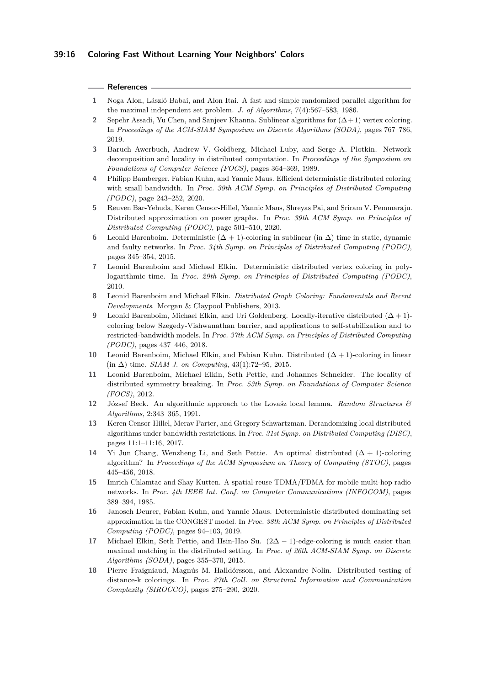## **39:16 Coloring Fast Without Learning Your Neighbors' Colors**

### **References**

- <span id="page-15-5"></span>**1** Noga Alon, László Babai, and Alon Itai. A fast and simple randomized parallel algorithm for the maximal independent set problem. *J. of Algorithms*, 7(4):567–583, 1986.
- <span id="page-15-13"></span>2 Sepehr Assadi, Yu Chen, and Sanjeev Khanna. Sublinear algorithms for  $(\Delta + 1)$  vertex coloring. In *Proceedings of the ACM-SIAM Symposium on Discrete Algorithms (SODA)*, pages 767–786, 2019.
- <span id="page-15-15"></span>**3** Baruch Awerbuch, Andrew V. Goldberg, Michael Luby, and Serge A. Plotkin. Network decomposition and locality in distributed computation. In *Proceedings of the Symposium on Foundations of Computer Science (FOCS)*, pages 364–369, 1989.
- <span id="page-15-10"></span>**4** Philipp Bamberger, Fabian Kuhn, and Yannic Maus. Efficient deterministic distributed coloring with small bandwidth. In *Proc. 39th ACM Symp. on Principles of Distributed Computing (PODC)*, page 243–252, 2020.
- <span id="page-15-2"></span>**5** Reuven Bar-Yehuda, Keren Censor-Hillel, Yannic Maus, Shreyas Pai, and Sriram V. Pemmaraju. Distributed approximation on power graphs. In *Proc. 39th ACM Symp. on Principles of Distributed Computing (PODC)*, page 501–510, 2020.
- <span id="page-15-8"></span>**6** Leonid Barenboim. Deterministic  $(\Delta + 1)$ -coloring in sublinear (in  $\Delta$ ) time in static, dynamic and faulty networks. In *Proc. 34th Symp. on Principles of Distributed Computing (PODC)*, pages 345–354, 2015.
- <span id="page-15-6"></span>**7** Leonid Barenboim and Michael Elkin. Deterministic distributed vertex coloring in polylogarithmic time. In *Proc. 29th Symp. on Principles of Distributed Computing (PODC)*, 2010.
- <span id="page-15-4"></span>**8** Leonid Barenboim and Michael Elkin. *Distributed Graph Coloring: Fundamentals and Recent Developments*. Morgan & Claypool Publishers, 2013.
- <span id="page-15-9"></span>**9** Leonid Barenboim, Michael Elkin, and Uri Goldenberg. Locally-iterative distributed (∆ + 1) coloring below Szegedy-Vishwanathan barrier, and applications to self-stabilization and to restricted-bandwidth models. In *Proc. 37th ACM Symp. on Principles of Distributed Computing (PODC)*, pages 437–446, 2018.
- <span id="page-15-7"></span>**10** Leonid Barenboim, Michael Elkin, and Fabian Kuhn. Distributed  $(\Delta + 1)$ -coloring in linear (in ∆) time. *SIAM J. on Computing*, 43(1):72–95, 2015.
- <span id="page-15-11"></span>**11** Leonid Barenboim, Michael Elkin, Seth Pettie, and Johannes Schneider. The locality of distributed symmetry breaking. In *Proc. 53th Symp. on Foundations of Computer Science (FOCS)*, 2012.
- <span id="page-15-14"></span>**12** József Beck. An algorithmic approach to the Lovaśz local lemma. *Random Structures & Algorithms*, 2:343–365, 1991.
- <span id="page-15-16"></span>**13** Keren Censor-Hillel, Merav Parter, and Gregory Schwartzman. Derandomizing local distributed algorithms under bandwidth restrictions. In *Proc. 31st Symp. on Distributed Computing (DISC)*, pages 11:1–11:16, 2017.
- <span id="page-15-3"></span>14 Yi Jun Chang, Wenzheng Li, and Seth Pettie. An optimal distributed  $(\Delta + 1)$ -coloring algorithm? In *Proceedings of the ACM Symposium on Theory of Computing (STOC)*, pages 445–456, 2018.
- <span id="page-15-0"></span>**15** Imrich Chlamtac and Shay Kutten. A spatial-reuse TDMA/FDMA for mobile multi-hop radio networks. In *Proc. 4th IEEE Int. Conf. on Computer Communications (INFOCOM)*, pages 389–394, 1985.
- <span id="page-15-17"></span>**16** Janosch Deurer, Fabian Kuhn, and Yannic Maus. Deterministic distributed dominating set approximation in the CONGEST model. In *Proc. 38th ACM Symp. on Principles of Distributed Computing (PODC)*, pages 94–103, 2019.
- <span id="page-15-12"></span>**17** Michael Elkin, Seth Pettie, and Hsin-Hao Su. (2∆ − 1)-edge-coloring is much easier than maximal matching in the distributed setting. In *Proc. of 26th ACM-SIAM Symp. on Discrete Algorithms (SODA)*, pages 355–370, 2015.
- <span id="page-15-1"></span>**18** Pierre Fraigniaud, Magnús M. Halldórsson, and Alexandre Nolin. Distributed testing of distance-k colorings. In *Proc. 27th Coll. on Structural Information and Communication Complexity (SIROCCO)*, pages 275–290, 2020.